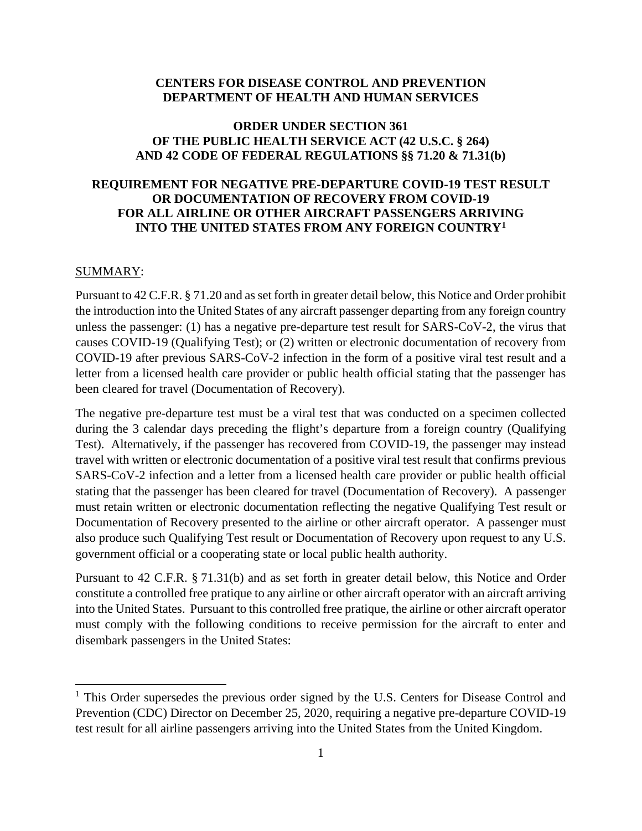#### **CENTERS FOR DISEASE CONTROL AND PREVENTION DEPARTMENT OF HEALTH AND HUMAN SERVICES**

#### **ORDER UNDER SECTION 361 OF THE PUBLIC HEALTH SERVICE ACT (42 U.S.C. § 264) AND 42 CODE OF FEDERAL REGULATIONS §§ 71.20 & 71.31(b)**

## **REQUIREMENT FOR NEGATIVE PRE-DEPARTURE COVID-19 TEST RESULT OR DOCUMENTATION OF RECOVERY FROM COVID-19 FOR ALL AIRLINE OR OTHER AIRCRAFT PASSENGERS ARRIVING INTO THE UNITED STATES FROM ANY FOREIGN COUNTRY[1](#page-0-0)**

#### SUMMARY:

Pursuant to 42 C.F.R. § 71.20 and as set forth in greater detail below, this Notice and Order prohibit the introduction into the United States of any aircraft passenger departing from any foreign country unless the passenger: (1) has a negative pre-departure test result for SARS-CoV-2, the virus that causes COVID-19 (Qualifying Test); or (2) written or electronic documentation of recovery from COVID-19 after previous SARS-CoV-2 infection in the form of a positive viral test result and a letter from a licensed health care provider or public health official stating that the passenger has been cleared for travel (Documentation of Recovery).

The negative pre-departure test must be a viral test that was conducted on a specimen collected during the 3 calendar days preceding the flight's departure from a foreign country (Qualifying Test). Alternatively, if the passenger has recovered from COVID-19, the passenger may instead travel with written or electronic documentation of a positive viral test result that confirms previous SARS-CoV-2 infection and a letter from a licensed health care provider or public health official stating that the passenger has been cleared for travel (Documentation of Recovery). A passenger must retain written or electronic documentation reflecting the negative Qualifying Test result or Documentation of Recovery presented to the airline or other aircraft operator. A passenger must also produce such Qualifying Test result or Documentation of Recovery upon request to any U.S. government official or a cooperating state or local public health authority.

Pursuant to 42 C.F.R. § 71.31(b) and as set forth in greater detail below, this Notice and Order constitute a controlled free pratique to any airline or other aircraft operator with an aircraft arriving into the United States. Pursuant to this controlled free pratique, the airline or other aircraft operator must comply with the following conditions to receive permission for the aircraft to enter and disembark passengers in the United States:

<span id="page-0-0"></span><sup>&</sup>lt;sup>1</sup> This Order supersedes the previous order signed by the U.S. Centers for Disease Control and Prevention (CDC) Director on December 25, 2020, requiring a negative pre-departure COVID-19 test result for all airline passengers arriving into the United States from the United Kingdom.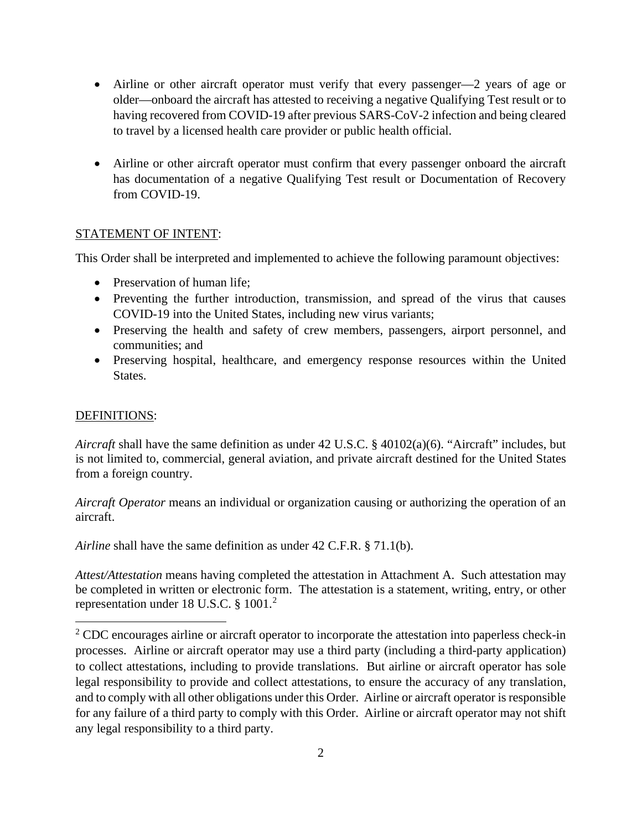- Airline or other aircraft operator must verify that every passenger—2 years of age or older—onboard the aircraft has attested to receiving a negative Qualifying Test result or to having recovered from COVID-19 after previous SARS-CoV-2 infection and being cleared to travel by a licensed health care provider or public health official.
- Airline or other aircraft operator must confirm that every passenger onboard the aircraft has documentation of a negative Qualifying Test result or Documentation of Recovery from COVID-19.

# STATEMENT OF INTENT:

This Order shall be interpreted and implemented to achieve the following paramount objectives:

- Preservation of human life;
- Preventing the further introduction, transmission, and spread of the virus that causes COVID-19 into the United States, including new virus variants;
- Preserving the health and safety of crew members, passengers, airport personnel, and communities; and
- Preserving hospital, healthcare, and emergency response resources within the United States.

## DEFINITIONS:

*Aircraft* shall have the same definition as under 42 U.S.C. § 40102(a)(6). "Aircraft" includes, but is not limited to, commercial, general aviation, and private aircraft destined for the United States from a foreign country.

*Aircraft Operator* means an individual or organization causing or authorizing the operation of an aircraft.

*Airline* shall have the same definition as under 42 C.F.R. § 71.1(b).

*Attest/Attestation* means having completed the attestation in Attachment A. Such attestation may be completed in written or electronic form. The attestation is a statement, writing, entry, or other representation under 18 U.S.C.  $\S 1001.<sup>2</sup>$  $\S 1001.<sup>2</sup>$  $\S 1001.<sup>2</sup>$ 

<span id="page-1-0"></span> $2^2$  CDC encourages airline or aircraft operator to incorporate the attestation into paperless check-in processes. Airline or aircraft operator may use a third party (including a third-party application) to collect attestations, including to provide translations. But airline or aircraft operator has sole legal responsibility to provide and collect attestations, to ensure the accuracy of any translation, and to comply with all other obligations under this Order. Airline or aircraft operator is responsible for any failure of a third party to comply with this Order. Airline or aircraft operator may not shift any legal responsibility to a third party.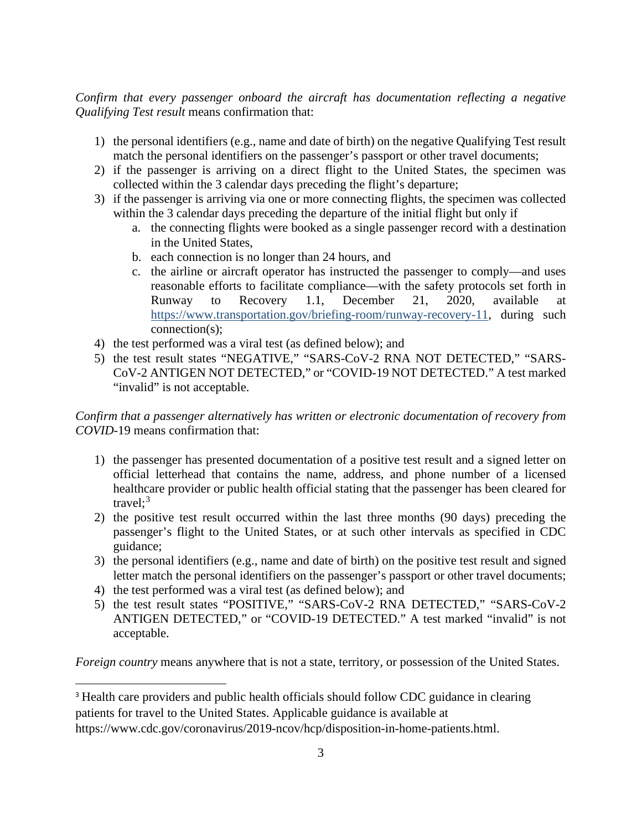*Confirm that every passenger onboard the aircraft has documentation reflecting a negative Qualifying Test result* means confirmation that:

- 1) the personal identifiers (e.g., name and date of birth) on the negative Qualifying Test result match the personal identifiers on the passenger's passport or other travel documents;
- 2) if the passenger is arriving on a direct flight to the United States, the specimen was collected within the 3 calendar days preceding the flight's departure;
- 3) if the passenger is arriving via one or more connecting flights, the specimen was collected within the 3 calendar days preceding the departure of the initial flight but only if
	- a. the connecting flights were booked as a single passenger record with a destination in the United States,
	- b. each connection is no longer than 24 hours, and
	- c. the airline or aircraft operator has instructed the passenger to comply—and uses reasonable efforts to facilitate compliance—with the safety protocols set forth in Runway to Recovery 1.1, December 21, 2020, available at [https://www.transportation.gov/briefing-room/runway-recovery-11,](https://www.transportation.gov/briefing-room/runway-recovery-11) during such connection(s);
- 4) the test performed was a viral test (as defined below); and
- 5) the test result states "NEGATIVE," "SARS-CoV-2 RNA NOT DETECTED," "SARS-CoV-2 ANTIGEN NOT DETECTED," or "COVID-19 NOT DETECTED." A test marked "invalid" is not acceptable.

## *Confirm that a passenger alternatively has written or electronic documentation of recovery from COVID-*19 means confirmation that:

- 1) the passenger has presented documentation of a positive test result and a signed letter on official letterhead that contains the name, address, and phone number of a licensed healthcare provider or public health official stating that the passenger has been cleared for travel; [3](#page-2-0)
- 2) the positive test result occurred within the last three months (90 days) preceding the passenger's flight to the United States, or at such other intervals as specified in CDC guidance;
- 3) the personal identifiers (e.g., name and date of birth) on the positive test result and signed letter match the personal identifiers on the passenger's passport or other travel documents;
- 4) the test performed was a viral test (as defined below); and
- 5) the test result states "POSITIVE," "SARS-CoV-2 RNA DETECTED," "SARS-CoV-2 ANTIGEN DETECTED," or "COVID-19 DETECTED." A test marked "invalid" is not acceptable.

*Foreign country* means anywhere that is not a state, territory, or possession of the United States.

<span id="page-2-0"></span><sup>3</sup> Health care providers and public health officials should follow CDC guidance in clearing patients for travel to the United States. Applicable guidance is available at https://www.cdc.gov/coronavirus/2019-ncov/hcp/disposition-in-home-patients.html.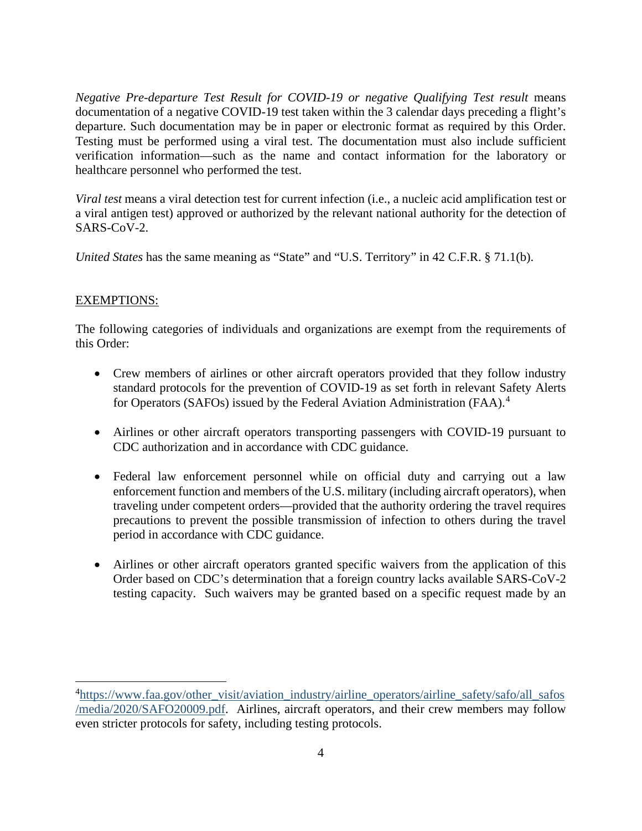*Negative Pre-departure Test Result for COVID-19 or negative Qualifying Test result* means documentation of a negative COVID-19 test taken within the 3 calendar days preceding a flight's departure. Such documentation may be in paper or electronic format as required by this Order. Testing must be performed using a viral test. The documentation must also include sufficient verification information—such as the name and contact information for the laboratory or healthcare personnel who performed the test.

*Viral test* means a viral detection test for current infection (i.e., a nucleic acid amplification test or a viral antigen test) approved or authorized by the relevant national authority for the detection of SARS-CoV-2.

*United States* has the same meaning as "State" and "U.S. Territory" in 42 C.F.R. § 71.1(b).

## EXEMPTIONS:

The following categories of individuals and organizations are exempt from the requirements of this Order:

- Crew members of airlines or other aircraft operators provided that they follow industry standard protocols for the prevention of COVID-19 as set forth in relevant Safety Alerts for Operators (SAFOs) issued by the Federal Aviation Administration (FAA).<sup>[4](#page-3-0)</sup>
- Airlines or other aircraft operators transporting passengers with COVID-19 pursuant to CDC authorization and in accordance with CDC guidance.
- Federal law enforcement personnel while on official duty and carrying out a law enforcement function and members of the U.S. military (including aircraft operators), when traveling under competent orders—provided that the authority ordering the travel requires precautions to prevent the possible transmission of infection to others during the travel period in accordance with CDC guidance.
- Airlines or other aircraft operators granted specific waivers from the application of this Order based on CDC's determination that a foreign country lacks available SARS-CoV-2 testing capacity. Such waivers may be granted based on a specific request made by an

<span id="page-3-0"></span><sup>&</sup>lt;sup>4</sup>[https://www.faa.gov/other\\_visit/aviation\\_industry/airline\\_operators/airline\\_safety/safo/all\\_safos](https://www.faa.gov/other_visit/aviation_industry/airline_operators/airline_safety/safo/all_safos/media/2020/SAFO20009.pdf) [/media/2020/SAFO20009.pdf.](https://www.faa.gov/other_visit/aviation_industry/airline_operators/airline_safety/safo/all_safos/media/2020/SAFO20009.pdf) Airlines, aircraft operators, and their crew members may follow even stricter protocols for safety, including testing protocols.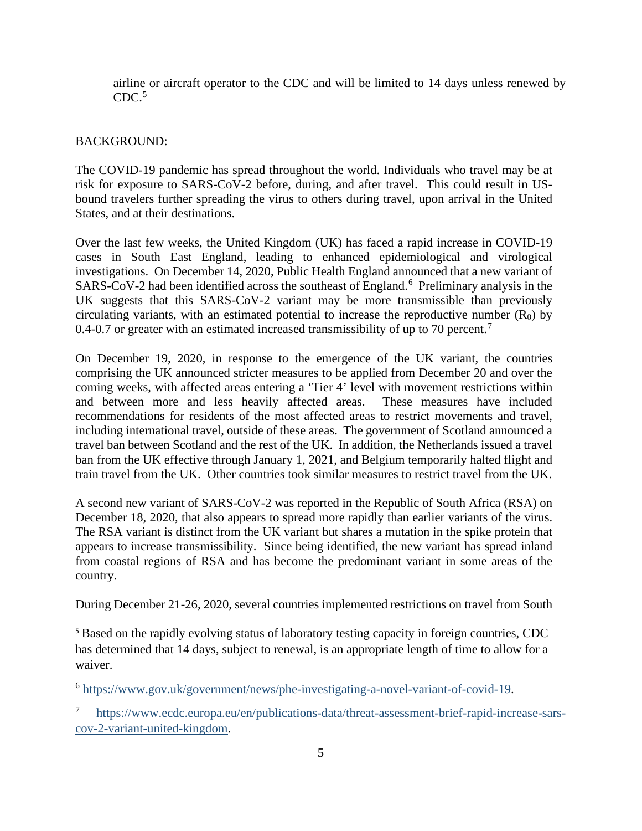airline or aircraft operator to the CDC and will be limited to 14 days unless renewed by  $CDC<sup>5</sup>$  $CDC<sup>5</sup>$  $CDC<sup>5</sup>$ 

#### BACKGROUND:

The COVID-19 pandemic has spread throughout the world. Individuals who travel may be at risk for exposure to SARS-CoV-2 before, during, and after travel. This could result in USbound travelers further spreading the virus to others during travel, upon arrival in the United States, and at their destinations.

Over the last few weeks, the United Kingdom (UK) has faced a rapid increase in COVID-19 cases in South East England, leading to enhanced epidemiological and virological investigations. On December 14, 2020, Public Health England announced that a new variant of  $SARS-CoV-2$  had been identified across the southeast of England.<sup>[6](#page-4-1)</sup> Preliminary analysis in the UK suggests that this SARS-CoV-2 variant may be more transmissible than previously circulating variants, with an estimated potential to increase the reproductive number  $(R_0)$  by 0.4-0.[7](#page-4-2) or greater with an estimated increased transmissibility of up to 70 percent.<sup>7</sup>

On December 19, 2020, in response to the emergence of the UK variant, the countries comprising the UK announced stricter measures to be applied from December 20 and over the coming weeks, with affected areas entering a 'Tier 4' level with movement restrictions within and between more and less heavily affected areas. These measures have included recommendations for residents of the most affected areas to restrict movements and travel, including international travel, outside of these areas. The government of Scotland announced a travel ban between Scotland and the rest of the UK. In addition, the Netherlands issued a travel ban from the UK effective through January 1, 2021, and Belgium temporarily halted flight and train travel from the UK. Other countries took similar measures to restrict travel from the UK.

A second new variant of SARS-CoV-2 was reported in the Republic of South Africa (RSA) on December 18, 2020, that also appears to spread more rapidly than earlier variants of the virus. The RSA variant is distinct from the UK variant but shares a mutation in the spike protein that appears to increase transmissibility. Since being identified, the new variant has spread inland from coastal regions of RSA and has become the predominant variant in some areas of the country.

During December 21-26, 2020, several countries implemented restrictions on travel from South

<span id="page-4-0"></span><sup>5</sup> Based on the rapidly evolving status of laboratory testing capacity in foreign countries, CDC has determined that 14 days, subject to renewal, is an appropriate length of time to allow for a waiver.

<span id="page-4-1"></span><sup>6</sup> [https://www.gov.uk/government/news/phe-investigating-a-novel-variant-of-covid-19.](https://www.gov.uk/government/news/phe-investigating-a-novel-variant-of-covid-19)

<span id="page-4-2"></span><sup>7</sup> [https://www.ecdc.europa.eu/en/publications-data/threat-assessment-brief-rapid-increase-sars](https://www.ecdc.europa.eu/en/publications-data/threat-assessment-brief-rapid-increase-sars-cov-2-variant-united-kingdom)[cov-2-variant-united-kingdom.](https://www.ecdc.europa.eu/en/publications-data/threat-assessment-brief-rapid-increase-sars-cov-2-variant-united-kingdom)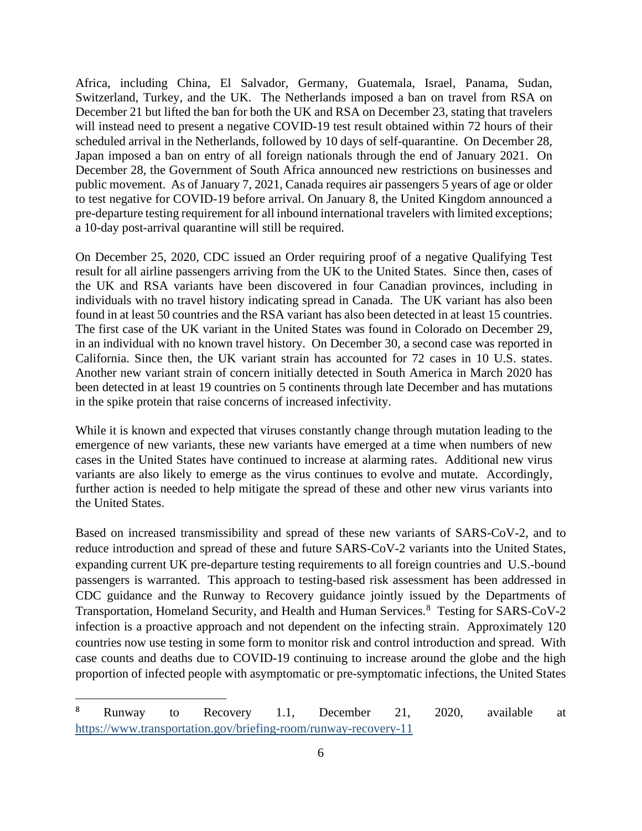Africa, including China, El Salvador, Germany, Guatemala, Israel, Panama, Sudan, Switzerland, Turkey, and the UK. The Netherlands imposed a ban on travel from RSA on December 21 but lifted the ban for both the UK and RSA on December 23, stating that travelers will instead need to present a negative COVID-19 test result obtained within 72 hours of their scheduled arrival in the Netherlands, followed by 10 days of self-quarantine. On December 28, Japan imposed a ban on entry of all foreign nationals through the end of January 2021. On December 28, the Government of South Africa announced new restrictions on businesses and public movement. As of January 7, 2021, Canada requires air passengers 5 years of age or older to test negative for COVID-19 before arrival. On January 8, the United Kingdom announced a pre-departure testing requirement for all inbound international travelers with limited exceptions; a 10-day post-arrival quarantine will still be required.

On December 25, 2020, CDC issued an Order requiring proof of a negative Qualifying Test result for all airline passengers arriving from the UK to the United States. Since then, cases of the UK and RSA variants have been discovered in four Canadian provinces, including in individuals with no travel history indicating spread in Canada. The UK variant has also been found in at least 50 countries and the RSA variant has also been detected in at least 15 countries. The first case of the UK variant in the United States was found in Colorado on December 29, in an individual with no known travel history. On December 30, a second case was reported in California. Since then, the UK variant strain has accounted for 72 cases in 10 U.S. states. Another new variant strain of concern initially detected in South America in March 2020 has been detected in at least 19 countries on 5 continents through late December and has mutations in the spike protein that raise concerns of increased infectivity.

While it is known and expected that viruses constantly change through mutation leading to the emergence of new variants, these new variants have emerged at a time when numbers of new cases in the United States have continued to increase at alarming rates. Additional new virus variants are also likely to emerge as the virus continues to evolve and mutate. Accordingly, further action is needed to help mitigate the spread of these and other new virus variants into the United States.

Based on increased transmissibility and spread of these new variants of SARS-CoV-2, and to reduce introduction and spread of these and future SARS-CoV-2 variants into the United States, expanding current UK pre-departure testing requirements to all foreign countries and U.S.-bound passengers is warranted. This approach to testing-based risk assessment has been addressed in CDC guidance and the Runway to Recovery guidance jointly issued by the Departments of Transportation, Homeland Security, and Health and Human Services. [8](#page-5-0) Testing for SARS-CoV-2 infection is a proactive approach and not dependent on the infecting strain. Approximately 120 countries now use testing in some form to monitor risk and control introduction and spread. With case counts and deaths due to COVID-19 continuing to increase around the globe and the high proportion of infected people with asymptomatic or pre-symptomatic infections, the United States

<span id="page-5-0"></span><sup>&</sup>lt;sup>8</sup> Runway to Recovery 1.1, December 21, 2020, available at <https://www.transportation.gov/briefing-room/runway-recovery-11>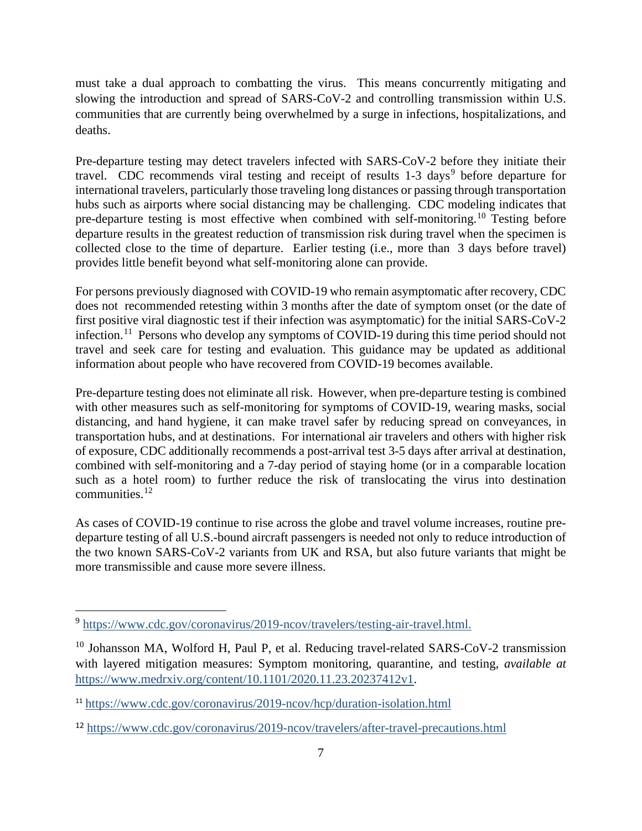must take a dual approach to combatting the virus. This means concurrently mitigating and slowing the introduction and spread of SARS-CoV-2 and controlling transmission within U.S. communities that are currently being overwhelmed by a surge in infections, hospitalizations, and deaths.

Pre-departure testing may detect travelers infected with SARS-CoV-2 before they initiate their travel. CDC recommends viral testing and receipt of results  $1-3$  days<sup>[9](#page-6-0)</sup> before departure for international travelers, particularly those traveling long distances or passing through transportation hubs such as airports where social distancing may be challenging. CDC modeling indicates that pre-departure testing is most effective when combined with self-monitoring.[10](#page-6-1) Testing before departure results in the greatest reduction of transmission risk during travel when the specimen is collected close to the time of departure. Earlier testing (i.e., more than 3 days before travel) provides little benefit beyond what self-monitoring alone can provide.

For persons previously diagnosed with COVID-19 who remain asymptomatic after recovery, CDC does not recommended retesting within 3 months after the date of symptom onset (or the date of first positive viral diagnostic test if their infection was asymptomatic) for the initial SARS-CoV-2 infection.<sup>[11](#page-6-2)</sup> Persons who develop any symptoms of COVID-19 during this time period should not travel and seek care for testing and evaluation. This guidance may be updated as additional information about people who have recovered from COVID-19 becomes available.

Pre-departure testing does not eliminate all risk. However, when pre-departure testing is combined with other measures such as self-monitoring for symptoms of COVID-19, wearing masks, social distancing, and hand hygiene, it can make travel safer by reducing spread on conveyances, in transportation hubs, and at destinations. For international air travelers and others with higher risk of exposure, CDC additionally recommends a post-arrival test 3-5 days after arrival at destination, combined with self-monitoring and a 7-day period of staying home (or in a comparable location such as a hotel room) to further reduce the risk of translocating the virus into destination communities. [12](#page-6-3)

As cases of COVID-19 continue to rise across the globe and travel volume increases, routine predeparture testing of all U.S.-bound aircraft passengers is needed not only to reduce introduction of the two known SARS-CoV-2 variants from UK and RSA, but also future variants that might be more transmissible and cause more severe illness.

<span id="page-6-0"></span><sup>9</sup> [https://www.cdc.gov/coronavirus/2019-ncov/travelers/testing-air-travel.html.](https://www.cdc.gov/coronavirus/2019-ncov/travelers/testing-air-travel.html)

<span id="page-6-1"></span><sup>&</sup>lt;sup>10</sup> Johansson MA, Wolford H, Paul P, et al. Reducing travel-related SARS-CoV-2 transmission with layered mitigation measures: Symptom monitoring, quarantine, and testing, *available at* [https://www.medrxiv.org/content/10.1101/2020.11.23.20237412v1.](https://www.medrxiv.org/content/10.1101/2020.11.23.20237412v1)

<span id="page-6-2"></span><sup>11</sup> <https://www.cdc.gov/coronavirus/2019-ncov/hcp/duration-isolation.html>

<span id="page-6-3"></span><sup>12</sup> <https://www.cdc.gov/coronavirus/2019-ncov/travelers/after-travel-precautions.html>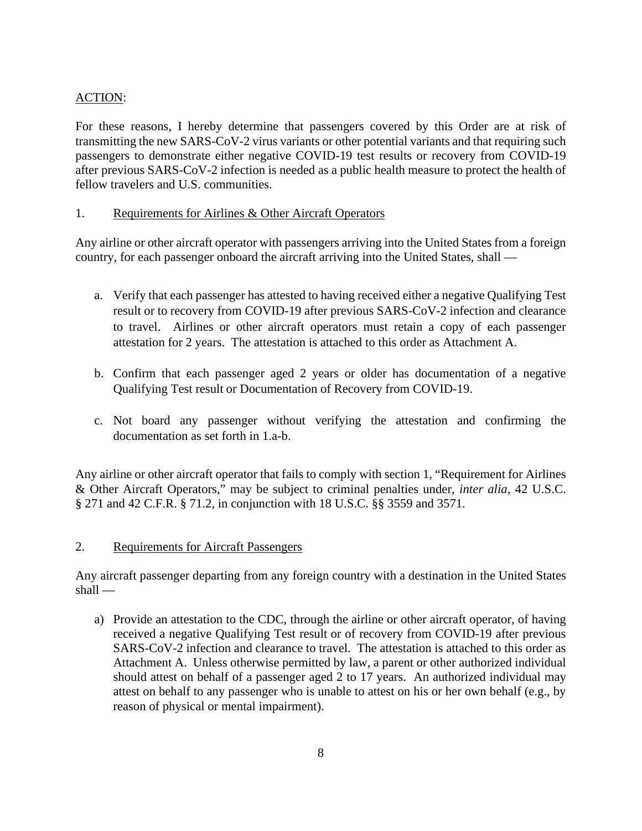# ACTION:

For these reasons, I hereby determine that passengers covered by this Order are at risk of transmitting the new SARS-CoV-2 virus variants or other potential variants and that requiring such passengers to demonstrate either negative COVID-19 test results or recovery from COVID-19 after previous SARS-CoV-2 infection is needed as a public health measure to protect the health of fellow travelers and U.S. communities.

## 1. Requirements for Airlines & Other Aircraft Operators

Any airline or other aircraft operator with passengers arriving into the United States from a foreign country, for each passenger onboard the aircraft arriving into the United States, shall —

- a. Verify that each passenger has attested to having received either a negative Qualifying Test result or to recovery from COVID-19 after previous SARS-CoV-2 infection and clearance to travel. Airlines or other aircraft operators must retain a copy of each passenger attestation for 2 years. The attestation is attached to this order as Attachment A.
- b. Confirm that each passenger aged 2 years or older has documentation of a negative Qualifying Test result or Documentation of Recovery from COVID-19.
- c. Not board any passenger without verifying the attestation and confirming the documentation as set forth in 1.a-b.

Any airline or other aircraft operator that fails to comply with section 1, "Requirement for Airlines & Other Aircraft Operators," may be subject to criminal penalties under, *inter alia*, 42 U.S.C. § 271 and 42 C.F.R. § 71.2, in conjunction with 18 U.S.C. §§ 3559 and 3571.

#### 2. Requirements for Aircraft Passengers

Any aircraft passenger departing from any foreign country with a destination in the United States shall —

a) Provide an attestation to the CDC, through the airline or other aircraft operator, of having received a negative Qualifying Test result or of recovery from COVID-19 after previous SARS-CoV-2 infection and clearance to travel. The attestation is attached to this order as Attachment A. Unless otherwise permitted by law, a parent or other authorized individual should attest on behalf of a passenger aged 2 to 17 years. An authorized individual may attest on behalf to any passenger who is unable to attest on his or her own behalf (e.g., by reason of physical or mental impairment).